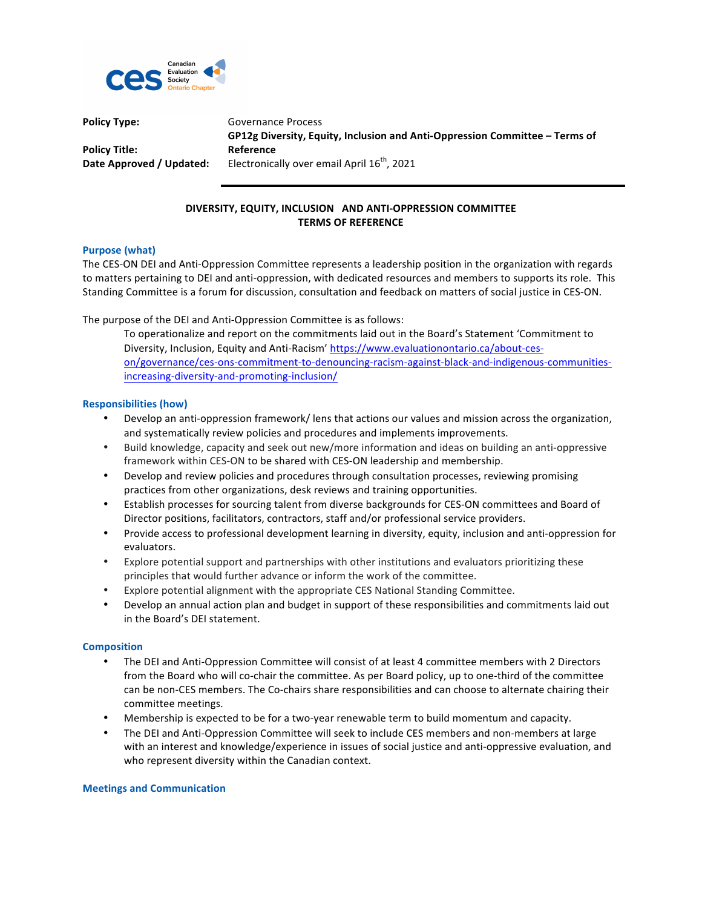

**Policy Type:** Governance Process **Policy Title:** GP12g Diversity, Equity, Inclusion and Anti-Oppression Committee – Terms of **Reference Date Approved / Updated:** Electronically over email April 16<sup>th</sup>, 2021

# **DIVERSITY, EQUITY, INCLUSION AND ANTI-OPPRESSION COMMITTEE TERMS OF REFERENCE**

# **Purpose (what)**

The CES-ON DEI and Anti-Oppression Committee represents a leadership position in the organization with regards to matters pertaining to DEI and anti-oppression, with dedicated resources and members to supports its role. This Standing Committee is a forum for discussion, consultation and feedback on matters of social justice in CES-ON.

The purpose of the DEI and Anti-Oppression Committee is as follows:

To operationalize and report on the commitments laid out in the Board's Statement 'Commitment to Diversity, Inclusion, Equity and Anti-Racism' https://www.evaluationontario.ca/about-ceson/governance/ces-ons-commitment-to-denouncing-racism-against-black-and-indigenous-communitiesincreasing-diversity-and-promoting-inclusion/

# **Responsibilities (how)**

- Develop an anti-oppression framework/ lens that actions our values and mission across the organization, and systematically review policies and procedures and implements improvements.
- Build knowledge, capacity and seek out new/more information and ideas on building an anti-oppressive framework within CES-ON to be shared with CES-ON leadership and membership.
- Develop and review policies and procedures through consultation processes, reviewing promising practices from other organizations, desk reviews and training opportunities.
- Establish processes for sourcing talent from diverse backgrounds for CES-ON committees and Board of Director positions, facilitators, contractors, staff and/or professional service providers.
- Provide access to professional development learning in diversity, equity, inclusion and anti-oppression for evaluators.
- Explore potential support and partnerships with other institutions and evaluators prioritizing these principles that would further advance or inform the work of the committee.
- Explore potential alignment with the appropriate CES National Standing Committee.
- Develop an annual action plan and budget in support of these responsibilities and commitments laid out in the Board's DEI statement.

### **Composition**

- The DEI and Anti-Oppression Committee will consist of at least 4 committee members with 2 Directors from the Board who will co-chair the committee. As per Board policy, up to one-third of the committee can be non-CES members. The Co-chairs share responsibilities and can choose to alternate chairing their committee meetings.
- Membership is expected to be for a two-year renewable term to build momentum and capacity.
- The DEI and Anti-Oppression Committee will seek to include CES members and non-members at large with an interest and knowledge/experience in issues of social justice and anti-oppressive evaluation, and who represent diversity within the Canadian context.

### **Meetings and Communication**